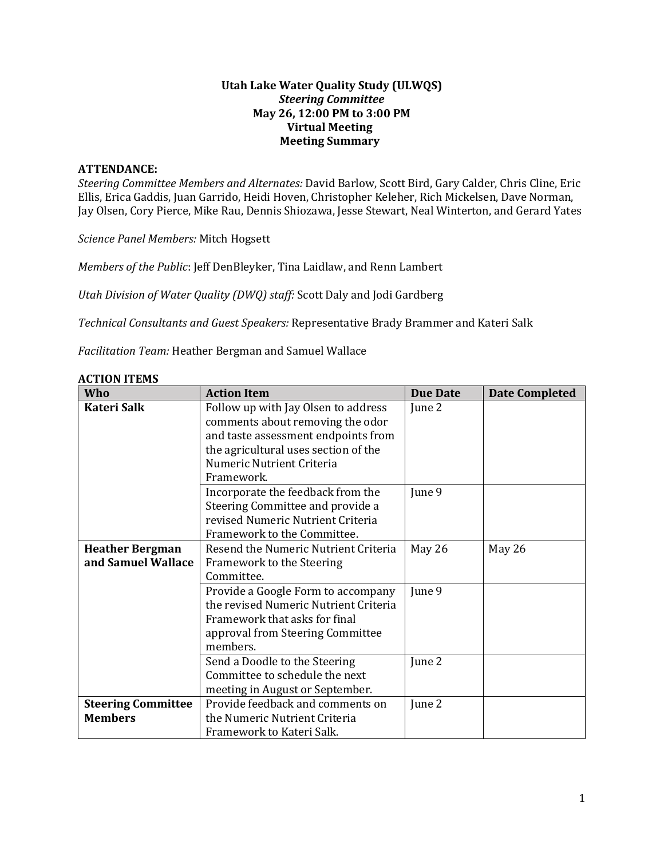### **Utah Lake Water Quality Study (ULWQS)**  *Steering Committee*  **May 26, 12:00 PM to 3:00 PM Virtual Meeting Meeting Summary**

#### **ATTENDANCE:**

*Steering Committee Members and Alternates:* David Barlow, Scott Bird, Gary Calder, Chris Cline, Eric Ellis, Erica Gaddis, Juan Garrido, Heidi Hoven, Christopher Keleher, Rich Mickelsen, Dave Norman, Jay Olsen, Cory Pierce, Mike Rau, Dennis Shiozawa, Jesse Stewart, Neal Winterton, and Gerard Yates

*Science Panel Members:* Mitch Hogsett

*Members of the Public*: Jeff DenBleyker, Tina Laidlaw, and Renn Lambert

*Utah Division of Water Quality (DWQ) staff:* Scott Daly and Jodi Gardberg

*Technical Consultants and Guest Speakers:* Representative Brady Brammer and Kateri Salk

*Facilitation Team:* Heather Bergman and Samuel Wallace

| <b>ACTION ITEMS</b> |  |
|---------------------|--|
|---------------------|--|

| Who                       | <b>Action Item</b>                                                      | <b>Due Date</b> | <b>Date Completed</b> |
|---------------------------|-------------------------------------------------------------------------|-----------------|-----------------------|
| <b>Kateri Salk</b>        | Follow up with Jay Olsen to address<br>comments about removing the odor | June 2          |                       |
|                           | and taste assessment endpoints from                                     |                 |                       |
|                           | the agricultural uses section of the                                    |                 |                       |
|                           | Numeric Nutrient Criteria                                               |                 |                       |
|                           | Framework.                                                              |                 |                       |
|                           | Incorporate the feedback from the                                       | June 9          |                       |
|                           | Steering Committee and provide a                                        |                 |                       |
|                           | revised Numeric Nutrient Criteria                                       |                 |                       |
|                           | Framework to the Committee.                                             |                 |                       |
| <b>Heather Bergman</b>    | Resend the Numeric Nutrient Criteria                                    | May 26          | May 26                |
| and Samuel Wallace        | Framework to the Steering                                               |                 |                       |
|                           | Committee.                                                              |                 |                       |
|                           | Provide a Google Form to accompany                                      | June 9          |                       |
|                           | the revised Numeric Nutrient Criteria                                   |                 |                       |
|                           | Framework that asks for final                                           |                 |                       |
|                           | approval from Steering Committee                                        |                 |                       |
|                           | members.                                                                |                 |                       |
|                           | Send a Doodle to the Steering                                           | June 2          |                       |
|                           | Committee to schedule the next                                          |                 |                       |
|                           | meeting in August or September.                                         |                 |                       |
| <b>Steering Committee</b> | Provide feedback and comments on                                        | June 2          |                       |
| <b>Members</b>            | the Numeric Nutrient Criteria                                           |                 |                       |
|                           | Framework to Kateri Salk.                                               |                 |                       |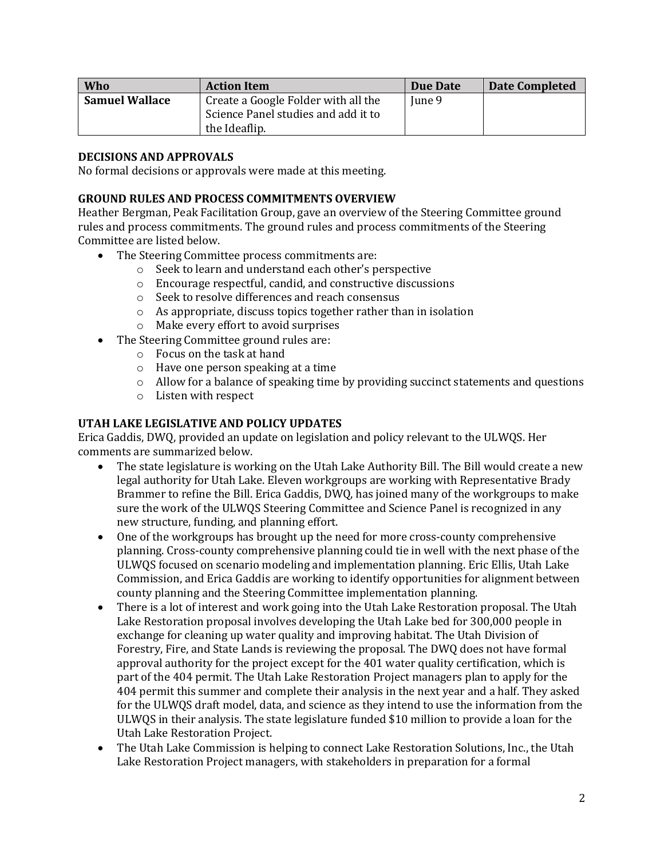| Who                   | <b>Action Item</b>                                   | Due Date | <b>Date Completed</b> |
|-----------------------|------------------------------------------------------|----------|-----------------------|
| <b>Samuel Wallace</b> | Create a Google Folder with all the                  | June 9   |                       |
|                       | Science Panel studies and add it to<br>the Ideaflip. |          |                       |

### **DECISIONS AND APPROVALS**

No formal decisions or approvals were made at this meeting.

#### **GROUND RULES AND PROCESS COMMITMENTS OVERVIEW**

Heather Bergman, Peak Facilitation Group, gave an overview of the Steering Committee ground rules and process commitments. The ground rules and process commitments of the Steering Committee are listed below.

- The Steering Committee process commitments are:
	- o Seek to learn and understand each other's perspective
	- o Encourage respectful, candid, and constructive discussions
	- o Seek to resolve differences and reach consensus
	- $\circ$  As appropriate, discuss topics together rather than in isolation
	- o Make every effort to avoid surprises
- The Steering Committee ground rules are:
	- o Focus on the task at hand
	- o Have one person speaking at a time
	- $\circ$  Allow for a balance of speaking time by providing succinct statements and questions
	- o Listen with respect

# **UTAH LAKE LEGISLATIVE AND POLICY UPDATES**

Erica Gaddis, DWQ, provided an update on legislation and policy relevant to the ULWQS. Her comments are summarized below.

- The state legislature is working on the Utah Lake Authority Bill. The Bill would create a new legal authority for Utah Lake. Eleven workgroups are working with Representative Brady Brammer to refine the Bill. Erica Gaddis, DWQ, has joined many of the workgroups to make sure the work of the ULWQS Steering Committee and Science Panel is recognized in any new structure, funding, and planning effort.
- One of the workgroups has brought up the need for more cross-county comprehensive planning. Cross-county comprehensive planning could tie in well with the next phase of the ULWQS focused on scenario modeling and implementation planning. Eric Ellis, Utah Lake Commission, and Erica Gaddis are working to identify opportunities for alignment between county planning and the Steering Committee implementation planning.
- There is a lot of interest and work going into the Utah Lake Restoration proposal. The Utah Lake Restoration proposal involves developing the Utah Lake bed for 300,000 people in exchange for cleaning up water quality and improving habitat. The Utah Division of Forestry, Fire, and State Lands is reviewing the proposal. The DWQ does not have formal approval authority for the project except for the 401 water quality certification, which is part of the 404 permit. The Utah Lake Restoration Project managers plan to apply for the 404 permit this summer and complete their analysis in the next year and a half. They asked for the ULWQS draft model, data, and science as they intend to use the information from the ULWQS in their analysis. The state legislature funded \$10 million to provide a loan for the Utah Lake Restoration Project.
- The Utah Lake Commission is helping to connect Lake Restoration Solutions, Inc., the Utah Lake Restoration Project managers, with stakeholders in preparation for a formal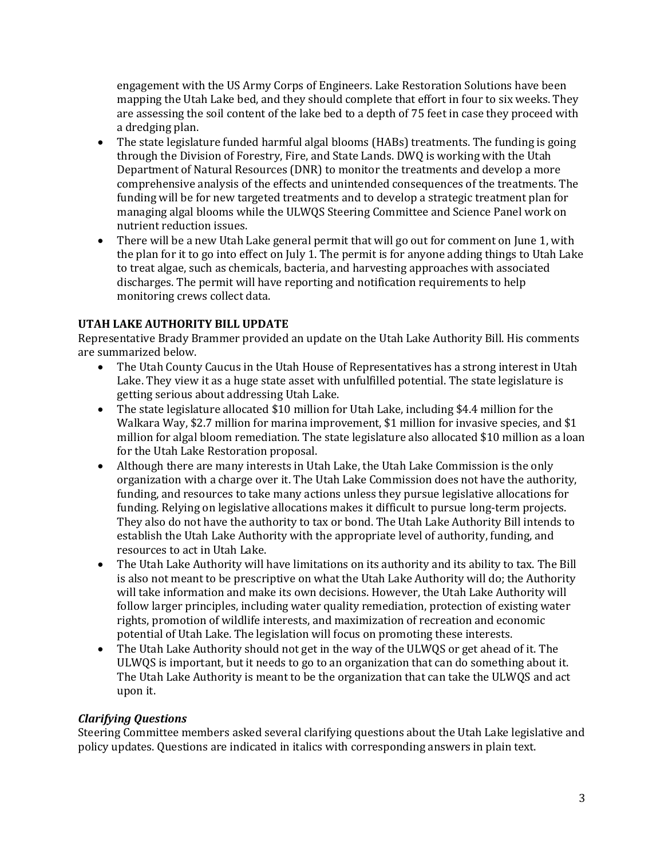engagement with the US Army Corps of Engineers. Lake Restoration Solutions have been mapping the Utah Lake bed, and they should complete that effort in four to six weeks. They are assessing the soil content of the lake bed to a depth of 75 feet in case they proceed with a dredging plan.

- The state legislature funded harmful algal blooms (HABs) treatments. The funding is going through the Division of Forestry, Fire, and State Lands. DWQ is working with the Utah Department of Natural Resources (DNR) to monitor the treatments and develop a more comprehensive analysis of the effects and unintended consequences of the treatments. The funding will be for new targeted treatments and to develop a strategic treatment plan for managing algal blooms while the ULWQS Steering Committee and Science Panel work on nutrient reduction issues.
- There will be a new Utah Lake general permit that will go out for comment on June 1, with the plan for it to go into effect on July 1. The permit is for anyone adding things to Utah Lake to treat algae, such as chemicals, bacteria, and harvesting approaches with associated discharges. The permit will have reporting and notification requirements to help monitoring crews collect data.

# **UTAH LAKE AUTHORITY BILL UPDATE**

Representative Brady Brammer provided an update on the Utah Lake Authority Bill. His comments are summarized below.

- The Utah County Caucus in the Utah House of Representatives has a strong interest in Utah Lake. They view it as a huge state asset with unfulfilled potential. The state legislature is getting serious about addressing Utah Lake.
- The state legislature allocated \$10 million for Utah Lake, including \$4.4 million for the Walkara Way, \$2.7 million for marina improvement, \$1 million for invasive species, and \$1 million for algal bloom remediation. The state legislature also allocated \$10 million as a loan for the Utah Lake Restoration proposal.
- Although there are many interests in Utah Lake, the Utah Lake Commission is the only organization with a charge over it. The Utah Lake Commission does not have the authority, funding, and resources to take many actions unless they pursue legislative allocations for funding. Relying on legislative allocations makes it difficult to pursue long-term projects. They also do not have the authority to tax or bond. The Utah Lake Authority Bill intends to establish the Utah Lake Authority with the appropriate level of authority, funding, and resources to act in Utah Lake.
- The Utah Lake Authority will have limitations on its authority and its ability to tax. The Bill is also not meant to be prescriptive on what the Utah Lake Authority will do; the Authority will take information and make its own decisions. However, the Utah Lake Authority will follow larger principles, including water quality remediation, protection of existing water rights, promotion of wildlife interests, and maximization of recreation and economic potential of Utah Lake. The legislation will focus on promoting these interests.
- The Utah Lake Authority should not get in the way of the ULWQS or get ahead of it. The ULWQS is important, but it needs to go to an organization that can do something about it. The Utah Lake Authority is meant to be the organization that can take the ULWQS and act upon it.

### *Clarifying Questions*

Steering Committee members asked several clarifying questions about the Utah Lake legislative and policy updates. Questions are indicated in italics with corresponding answers in plain text.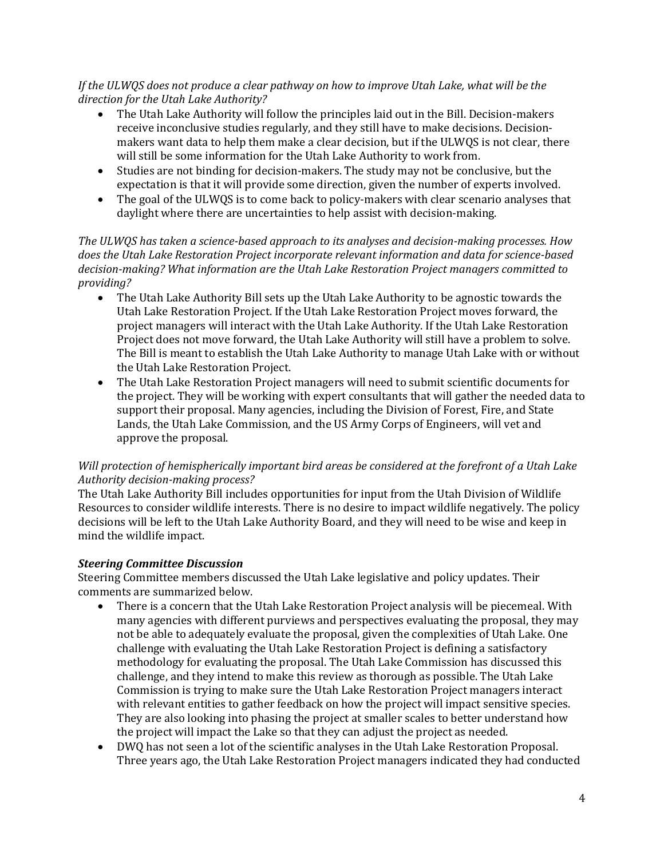*If the ULWQS does not produce a clear pathway on how to improve Utah Lake, what will be the direction for the Utah Lake Authority?*

- The Utah Lake Authority will follow the principles laid out in the Bill. Decision-makers receive inconclusive studies regularly, and they still have to make decisions. Decisionmakers want data to help them make a clear decision, but if the ULWQS is not clear, there will still be some information for the Utah Lake Authority to work from.
- Studies are not binding for decision-makers. The study may not be conclusive, but the expectation is that it will provide some direction, given the number of experts involved.
- The goal of the ULWQS is to come back to policy-makers with clear scenario analyses that daylight where there are uncertainties to help assist with decision-making.

*The ULWQS has taken a science-based approach to its analyses and decision-making processes. How does the Utah Lake Restoration Project incorporate relevant information and data for science-based decision-making? What information are the Utah Lake Restoration Project managers committed to providing?*

- The Utah Lake Authority Bill sets up the Utah Lake Authority to be agnostic towards the Utah Lake Restoration Project. If the Utah Lake Restoration Project moves forward, the project managers will interact with the Utah Lake Authority. If the Utah Lake Restoration Project does not move forward, the Utah Lake Authority will still have a problem to solve. The Bill is meant to establish the Utah Lake Authority to manage Utah Lake with or without the Utah Lake Restoration Project.
- The Utah Lake Restoration Project managers will need to submit scientific documents for the project. They will be working with expert consultants that will gather the needed data to support their proposal. Many agencies, including the Division of Forest, Fire, and State Lands, the Utah Lake Commission, and the US Army Corps of Engineers, will vet and approve the proposal.

### *Will protection of hemispherically important bird areas be considered at the forefront of a Utah Lake Authority decision-making process?*

The Utah Lake Authority Bill includes opportunities for input from the Utah Division of Wildlife Resources to consider wildlife interests. There is no desire to impact wildlife negatively. The policy decisions will be left to the Utah Lake Authority Board, and they will need to be wise and keep in mind the wildlife impact.

### *Steering Committee Discussion*

Steering Committee members discussed the Utah Lake legislative and policy updates. Their comments are summarized below.

- There is a concern that the Utah Lake Restoration Project analysis will be piecemeal. With many agencies with different purviews and perspectives evaluating the proposal, they may not be able to adequately evaluate the proposal, given the complexities of Utah Lake. One challenge with evaluating the Utah Lake Restoration Project is defining a satisfactory methodology for evaluating the proposal. The Utah Lake Commission has discussed this challenge, and they intend to make this review as thorough as possible. The Utah Lake Commission is trying to make sure the Utah Lake Restoration Project managers interact with relevant entities to gather feedback on how the project will impact sensitive species. They are also looking into phasing the project at smaller scales to better understand how the project will impact the Lake so that they can adjust the project as needed.
- DWQ has not seen a lot of the scientific analyses in the Utah Lake Restoration Proposal. Three years ago, the Utah Lake Restoration Project managers indicated they had conducted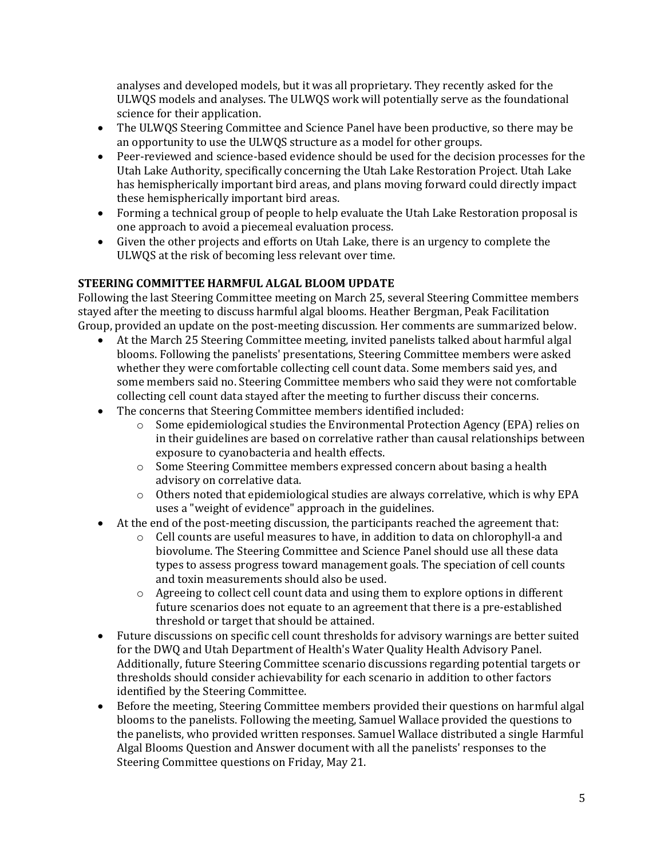analyses and developed models, but it was all proprietary. They recently asked for the ULWQS models and analyses. The ULWQS work will potentially serve as the foundational science for their application.

- The ULWQS Steering Committee and Science Panel have been productive, so there may be an opportunity to use the ULWQS structure as a model for other groups.
- Peer-reviewed and science-based evidence should be used for the decision processes for the Utah Lake Authority, specifically concerning the Utah Lake Restoration Project. Utah Lake has hemispherically important bird areas, and plans moving forward could directly impact these hemispherically important bird areas.
- Forming a technical group of people to help evaluate the Utah Lake Restoration proposal is one approach to avoid a piecemeal evaluation process.
- Given the other projects and efforts on Utah Lake, there is an urgency to complete the ULWQS at the risk of becoming less relevant over time.

# **STEERING COMMITTEE HARMFUL ALGAL BLOOM UPDATE**

Following the last Steering Committee meeting on March 25, several Steering Committee members stayed after the meeting to discuss harmful algal blooms. Heather Bergman, Peak Facilitation Group, provided an update on the post-meeting discussion. Her comments are summarized below.

- At the March 25 Steering Committee meeting, invited panelists talked about harmful algal blooms. Following the panelists' presentations, Steering Committee members were asked whether they were comfortable collecting cell count data. Some members said yes, and some members said no. Steering Committee members who said they were not comfortable collecting cell count data stayed after the meeting to further discuss their concerns.
- The concerns that Steering Committee members identified included:
	- $\circ$  Some epidemiological studies the Environmental Protection Agency (EPA) relies on in their guidelines are based on correlative rather than causal relationships between exposure to cyanobacteria and health effects.
	- o Some Steering Committee members expressed concern about basing a health advisory on correlative data.
	- o Others noted that epidemiological studies are always correlative, which is why EPA uses a "weight of evidence" approach in the guidelines.
- At the end of the post-meeting discussion, the participants reached the agreement that:
	- o Cell counts are useful measures to have, in addition to data on chlorophyll-a and biovolume. The Steering Committee and Science Panel should use all these data types to assess progress toward management goals. The speciation of cell counts and toxin measurements should also be used.
	- $\circ$  Agreeing to collect cell count data and using them to explore options in different future scenarios does not equate to an agreement that there is a pre-established threshold or target that should be attained.
- Future discussions on specific cell count thresholds for advisory warnings are better suited for the DWQ and Utah Department of Health's Water Quality Health Advisory Panel. Additionally, future Steering Committee scenario discussions regarding potential targets or thresholds should consider achievability for each scenario in addition to other factors identified by the Steering Committee.
- Before the meeting, Steering Committee members provided their questions on harmful algal blooms to the panelists. Following the meeting, Samuel Wallace provided the questions to the panelists, who provided written responses. Samuel Wallace distributed a single Harmful Algal Blooms Question and Answer document with all the panelists' responses to the Steering Committee questions on Friday, May 21.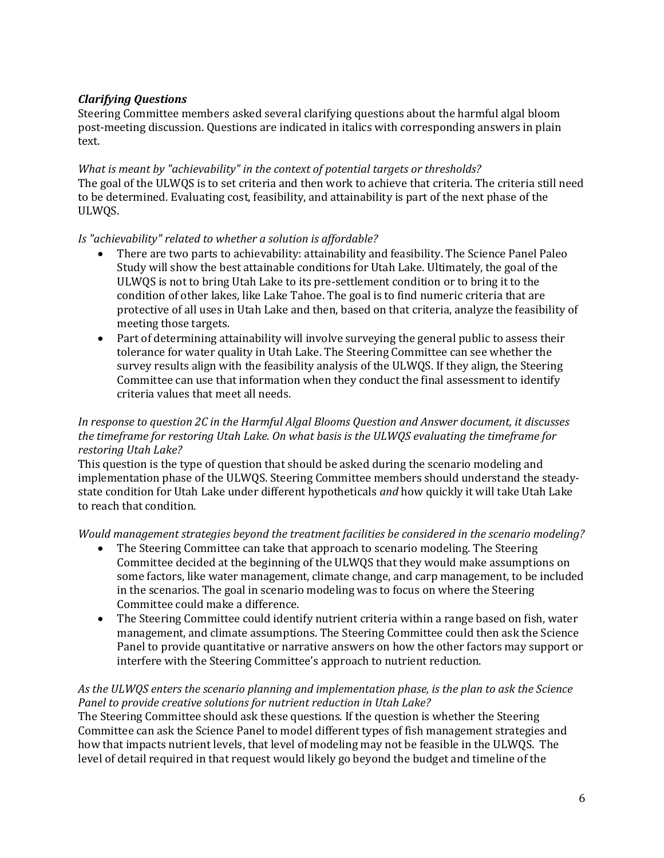# *Clarifying Questions*

Steering Committee members asked several clarifying questions about the harmful algal bloom post-meeting discussion. Questions are indicated in italics with corresponding answers in plain text.

*What is meant by "achievability" in the context of potential targets or thresholds?* The goal of the ULWQS is to set criteria and then work to achieve that criteria. The criteria still need to be determined. Evaluating cost, feasibility, and attainability is part of the next phase of the ULWQS.

# *Is "achievability" related to whether a solution is affordable?*

- There are two parts to achievability: attainability and feasibility. The Science Panel Paleo Study will show the best attainable conditions for Utah Lake. Ultimately, the goal of the ULWQS is not to bring Utah Lake to its pre-settlement condition or to bring it to the condition of other lakes, like Lake Tahoe. The goal is to find numeric criteria that are protective of all uses in Utah Lake and then, based on that criteria, analyze the feasibility of meeting those targets.
- Part of determining attainability will involve surveying the general public to assess their tolerance for water quality in Utah Lake. The Steering Committee can see whether the survey results align with the feasibility analysis of the ULWQS. If they align, the Steering Committee can use that information when they conduct the final assessment to identify criteria values that meet all needs.

### *In response to question 2C in the Harmful Algal Blooms Question and Answer document, it discusses the timeframe for restoring Utah Lake. On what basis is the ULWQS evaluating the timeframe for restoring Utah Lake?*

This question is the type of question that should be asked during the scenario modeling and implementation phase of the ULWQS. Steering Committee members should understand the steadystate condition for Utah Lake under different hypotheticals *and* how quickly it will take Utah Lake to reach that condition.

### *Would management strategies beyond the treatment facilities be considered in the scenario modeling?*

- The Steering Committee can take that approach to scenario modeling. The Steering Committee decided at the beginning of the ULWQS that they would make assumptions on some factors, like water management, climate change, and carp management, to be included in the scenarios. The goal in scenario modeling was to focus on where the Steering Committee could make a difference.
- The Steering Committee could identify nutrient criteria within a range based on fish, water management, and climate assumptions. The Steering Committee could then ask the Science Panel to provide quantitative or narrative answers on how the other factors may support or interfere with the Steering Committee's approach to nutrient reduction.

### *As the ULWQS enters the scenario planning and implementation phase, is the plan to ask the Science Panel to provide creative solutions for nutrient reduction in Utah Lake?*

The Steering Committee should ask these questions. If the question is whether the Steering Committee can ask the Science Panel to model different types of fish management strategies and how that impacts nutrient levels, that level of modeling may not be feasible in the ULWQS. The level of detail required in that request would likely go beyond the budget and timeline of the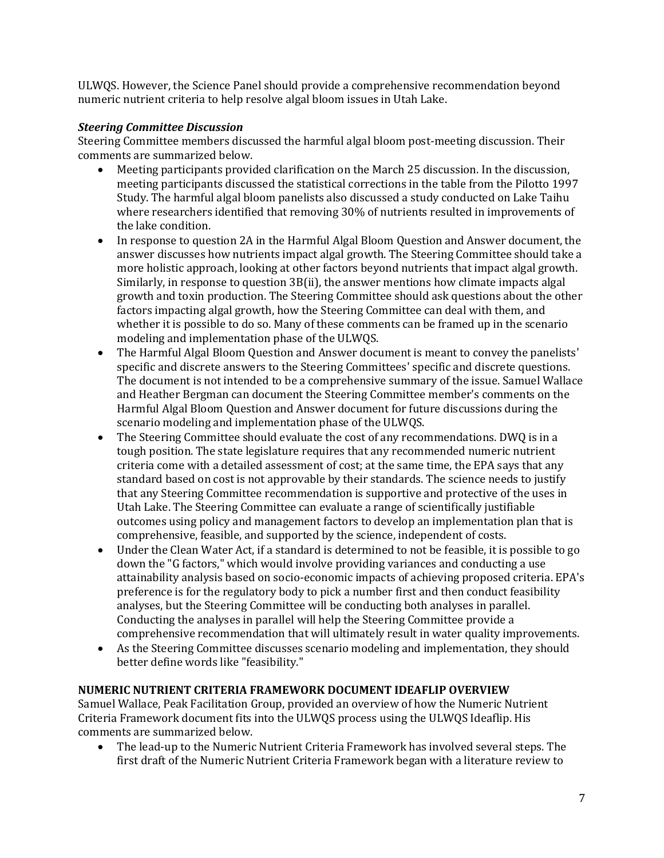ULWQS. However, the Science Panel should provide a comprehensive recommendation beyond numeric nutrient criteria to help resolve algal bloom issues in Utah Lake.

# *Steering Committee Discussion*

Steering Committee members discussed the harmful algal bloom post-meeting discussion. Their comments are summarized below.

- Meeting participants provided clarification on the March 25 discussion. In the discussion, meeting participants discussed the statistical corrections in the table from the Pilotto 1997 Study. The harmful algal bloom panelists also discussed a study conducted on Lake Taihu where researchers identified that removing 30% of nutrients resulted in improvements of the lake condition.
- In response to question 2A in the Harmful Algal Bloom Question and Answer document, the answer discusses how nutrients impact algal growth. The Steering Committee should take a more holistic approach, looking at other factors beyond nutrients that impact algal growth. Similarly, in response to question 3B(ii), the answer mentions how climate impacts algal growth and toxin production. The Steering Committee should ask questions about the other factors impacting algal growth, how the Steering Committee can deal with them, and whether it is possible to do so. Many of these comments can be framed up in the scenario modeling and implementation phase of the ULWQS.
- The Harmful Algal Bloom Question and Answer document is meant to convey the panelists' specific and discrete answers to the Steering Committees' specific and discrete questions. The document is not intended to be a comprehensive summary of the issue. Samuel Wallace and Heather Bergman can document the Steering Committee member's comments on the Harmful Algal Bloom Question and Answer document for future discussions during the scenario modeling and implementation phase of the ULWQS.
- The Steering Committee should evaluate the cost of any recommendations. DWQ is in a tough position. The state legislature requires that any recommended numeric nutrient criteria come with a detailed assessment of cost; at the same time, the EPA says that any standard based on cost is not approvable by their standards. The science needs to justify that any Steering Committee recommendation is supportive and protective of the uses in Utah Lake. The Steering Committee can evaluate a range of scientifically justifiable outcomes using policy and management factors to develop an implementation plan that is comprehensive, feasible, and supported by the science, independent of costs.
- Under the Clean Water Act, if a standard is determined to not be feasible, it is possible to go down the "G factors," which would involve providing variances and conducting a use attainability analysis based on socio-economic impacts of achieving proposed criteria. EPA's preference is for the regulatory body to pick a number first and then conduct feasibility analyses, but the Steering Committee will be conducting both analyses in parallel. Conducting the analyses in parallel will help the Steering Committee provide a comprehensive recommendation that will ultimately result in water quality improvements.
- As the Steering Committee discusses scenario modeling and implementation, they should better define words like "feasibility."

### **NUMERIC NUTRIENT CRITERIA FRAMEWORK DOCUMENT IDEAFLIP OVERVIEW**

Samuel Wallace, Peak Facilitation Group, provided an overview of how the Numeric Nutrient Criteria Framework document fits into the ULWQS process using the ULWQS Ideaflip. His comments are summarized below.

• The lead-up to the Numeric Nutrient Criteria Framework has involved several steps. The first draft of the Numeric Nutrient Criteria Framework began with a literature review to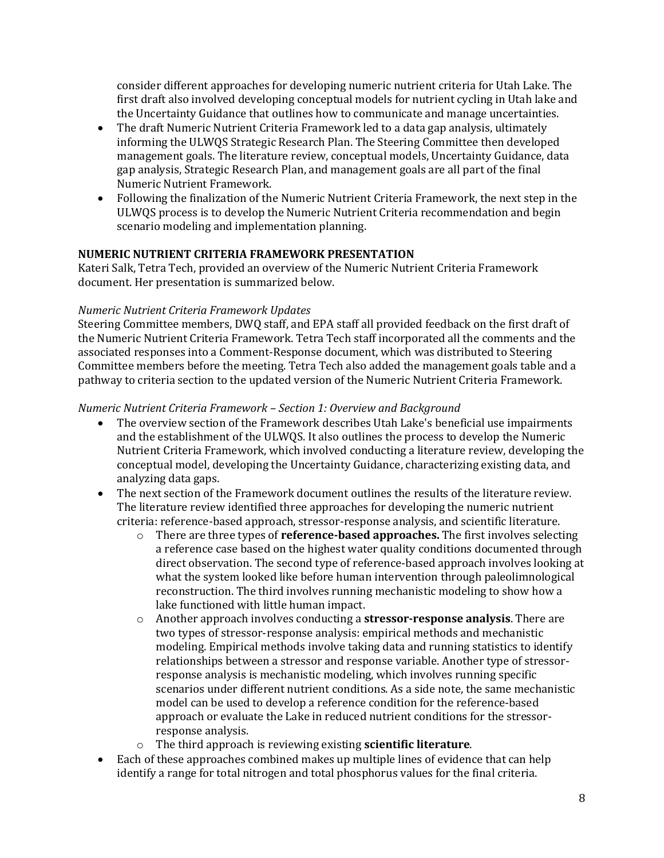consider different approaches for developing numeric nutrient criteria for Utah Lake. The first draft also involved developing conceptual models for nutrient cycling in Utah lake and the Uncertainty Guidance that outlines how to communicate and manage uncertainties.

- The draft Numeric Nutrient Criteria Framework led to a data gap analysis, ultimately informing the ULWQS Strategic Research Plan. The Steering Committee then developed management goals. The literature review, conceptual models, Uncertainty Guidance, data gap analysis, Strategic Research Plan, and management goals are all part of the final Numeric Nutrient Framework.
- Following the finalization of the Numeric Nutrient Criteria Framework, the next step in the ULWQS process is to develop the Numeric Nutrient Criteria recommendation and begin scenario modeling and implementation planning.

### **NUMERIC NUTRIENT CRITERIA FRAMEWORK PRESENTATION**

Kateri Salk, Tetra Tech, provided an overview of the Numeric Nutrient Criteria Framework document. Her presentation is summarized below.

#### *Numeric Nutrient Criteria Framework Updates*

Steering Committee members, DWQ staff, and EPA staff all provided feedback on the first draft of the Numeric Nutrient Criteria Framework. Tetra Tech staff incorporated all the comments and the associated responses into a Comment-Response document, which was distributed to Steering Committee members before the meeting. Tetra Tech also added the management goals table and a pathway to criteria section to the updated version of the Numeric Nutrient Criteria Framework.

#### *Numeric Nutrient Criteria Framework – Section 1: Overview and Background*

- The overview section of the Framework describes Utah Lake's beneficial use impairments and the establishment of the ULWQS. It also outlines the process to develop the Numeric Nutrient Criteria Framework, which involved conducting a literature review, developing the conceptual model, developing the Uncertainty Guidance, characterizing existing data, and analyzing data gaps.
- The next section of the Framework document outlines the results of the literature review. The literature review identified three approaches for developing the numeric nutrient criteria: reference-based approach, stressor-response analysis, and scientific literature.
	- o There are three types of **reference-based approaches.** The first involves selecting a reference case based on the highest water quality conditions documented through direct observation. The second type of reference-based approach involves looking at what the system looked like before human intervention through paleolimnological reconstruction. The third involves running mechanistic modeling to show how a lake functioned with little human impact.
	- o Another approach involves conducting a **stressor-response analysis**. There are two types of stressor-response analysis: empirical methods and mechanistic modeling. Empirical methods involve taking data and running statistics to identify relationships between a stressor and response variable. Another type of stressorresponse analysis is mechanistic modeling, which involves running specific scenarios under different nutrient conditions. As a side note, the same mechanistic model can be used to develop a reference condition for the reference-based approach or evaluate the Lake in reduced nutrient conditions for the stressorresponse analysis.
	- o The third approach is reviewing existing **scientific literature**.
- Each of these approaches combined makes up multiple lines of evidence that can help identify a range for total nitrogen and total phosphorus values for the final criteria.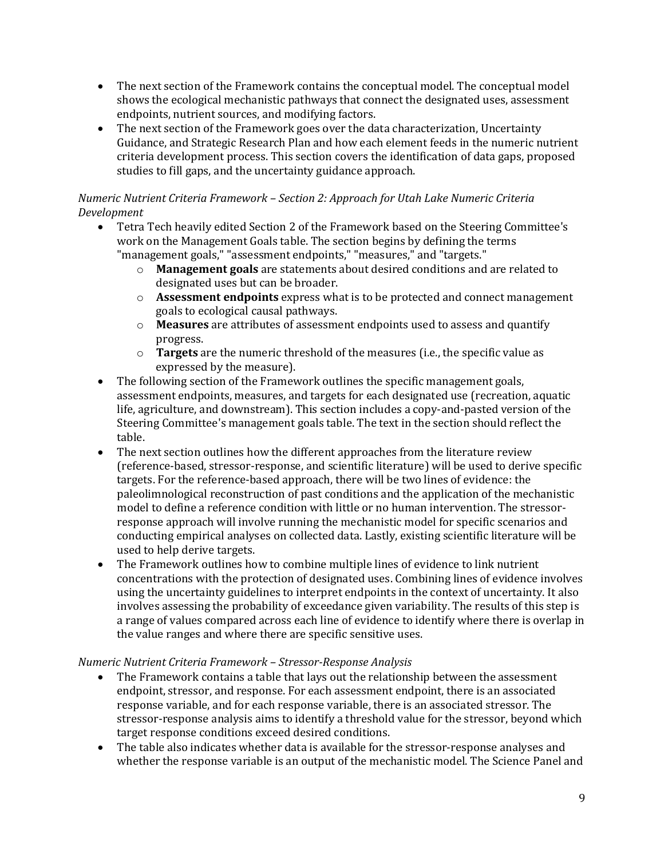- The next section of the Framework contains the conceptual model. The conceptual model shows the ecological mechanistic pathways that connect the designated uses, assessment endpoints, nutrient sources, and modifying factors.
- The next section of the Framework goes over the data characterization. Uncertainty Guidance, and Strategic Research Plan and how each element feeds in the numeric nutrient criteria development process. This section covers the identification of data gaps, proposed studies to fill gaps, and the uncertainty guidance approach.

# *Numeric Nutrient Criteria Framework – Section 2: Approach for Utah Lake Numeric Criteria Development*

- Tetra Tech heavily edited Section 2 of the Framework based on the Steering Committee's work on the Management Goals table. The section begins by defining the terms "management goals," "assessment endpoints," "measures," and "targets."
	- o **Management goals** are statements about desired conditions and are related to designated uses but can be broader.
	- o **Assessment endpoints** express what is to be protected and connect management goals to ecological causal pathways.
	- o **Measures** are attributes of assessment endpoints used to assess and quantify progress.
	- o **Targets** are the numeric threshold of the measures (i.e., the specific value as expressed by the measure).
- The following section of the Framework outlines the specific management goals, assessment endpoints, measures, and targets for each designated use (recreation, aquatic life, agriculture, and downstream). This section includes a copy-and-pasted version of the Steering Committee's management goals table. The text in the section should reflect the table.
- The next section outlines how the different approaches from the literature review (reference-based, stressor-response, and scientific literature) will be used to derive specific targets. For the reference-based approach, there will be two lines of evidence: the paleolimnological reconstruction of past conditions and the application of the mechanistic model to define a reference condition with little or no human intervention. The stressorresponse approach will involve running the mechanistic model for specific scenarios and conducting empirical analyses on collected data. Lastly, existing scientific literature will be used to help derive targets.
- The Framework outlines how to combine multiple lines of evidence to link nutrient concentrations with the protection of designated uses. Combining lines of evidence involves using the uncertainty guidelines to interpret endpoints in the context of uncertainty. It also involves assessing the probability of exceedance given variability. The results of this step is a range of values compared across each line of evidence to identify where there is overlap in the value ranges and where there are specific sensitive uses.

# *Numeric Nutrient Criteria Framework – Stressor-Response Analysis*

- The Framework contains a table that lays out the relationship between the assessment endpoint, stressor, and response. For each assessment endpoint, there is an associated response variable, and for each response variable, there is an associated stressor. The stressor-response analysis aims to identify a threshold value for the stressor, beyond which target response conditions exceed desired conditions.
- The table also indicates whether data is available for the stressor-response analyses and whether the response variable is an output of the mechanistic model. The Science Panel and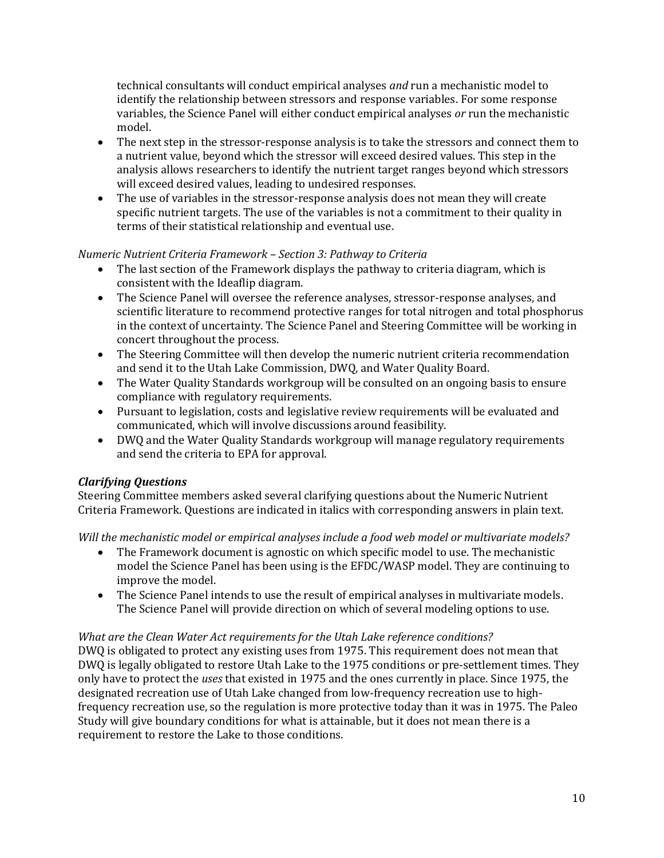technical consultants will conduct empirical analyses *and* run a mechanistic model to identify the relationship between stressors and response variables. For some response variables, the Science Panel will either conduct empirical analyses *or* run the mechanistic model.

- The next step in the stressor-response analysis is to take the stressors and connect them to a nutrient value, beyond which the stressor will exceed desired values. This step in the analysis allows researchers to identify the nutrient target ranges beyond which stressors will exceed desired values, leading to undesired responses.
- The use of variables in the stressor-response analysis does not mean they will create specific nutrient targets. The use of the variables is not a commitment to their quality in terms of their statistical relationship and eventual use.

### *Numeric Nutrient Criteria Framework – Section 3: Pathway to Criteria*

- The last section of the Framework displays the pathway to criteria diagram, which is consistent with the Ideaflip diagram.
- The Science Panel will oversee the reference analyses, stressor-response analyses, and scientific literature to recommend protective ranges for total nitrogen and total phosphorus in the context of uncertainty. The Science Panel and Steering Committee will be working in concert throughout the process.
- The Steering Committee will then develop the numeric nutrient criteria recommendation and send it to the Utah Lake Commission, DWQ, and Water Quality Board.
- The Water Quality Standards workgroup will be consulted on an ongoing basis to ensure compliance with regulatory requirements.
- Pursuant to legislation, costs and legislative review requirements will be evaluated and communicated, which will involve discussions around feasibility.
- DWQ and the Water Quality Standards workgroup will manage regulatory requirements and send the criteria to EPA for approval.

### *Clarifying Questions*

Steering Committee members asked several clarifying questions about the Numeric Nutrient Criteria Framework. Questions are indicated in italics with corresponding answers in plain text.

*Will the mechanistic model or empirical analyses include a food web model or multivariate models?*

- The Framework document is agnostic on which specific model to use. The mechanistic model the Science Panel has been using is the EFDC/WASP model. They are continuing to improve the model.
- The Science Panel intends to use the result of empirical analyses in multivariate models. The Science Panel will provide direction on which of several modeling options to use.

### *What are the Clean Water Act requirements for the Utah Lake reference conditions?*

DWQ is obligated to protect any existing uses from 1975. This requirement does not mean that DWQ is legally obligated to restore Utah Lake to the 1975 conditions or pre-settlement times. They only have to protect the *uses* that existed in 1975 and the ones currently in place. Since 1975, the designated recreation use of Utah Lake changed from low-frequency recreation use to highfrequency recreation use, so the regulation is more protective today than it was in 1975. The Paleo Study will give boundary conditions for what is attainable, but it does not mean there is a requirement to restore the Lake to those conditions.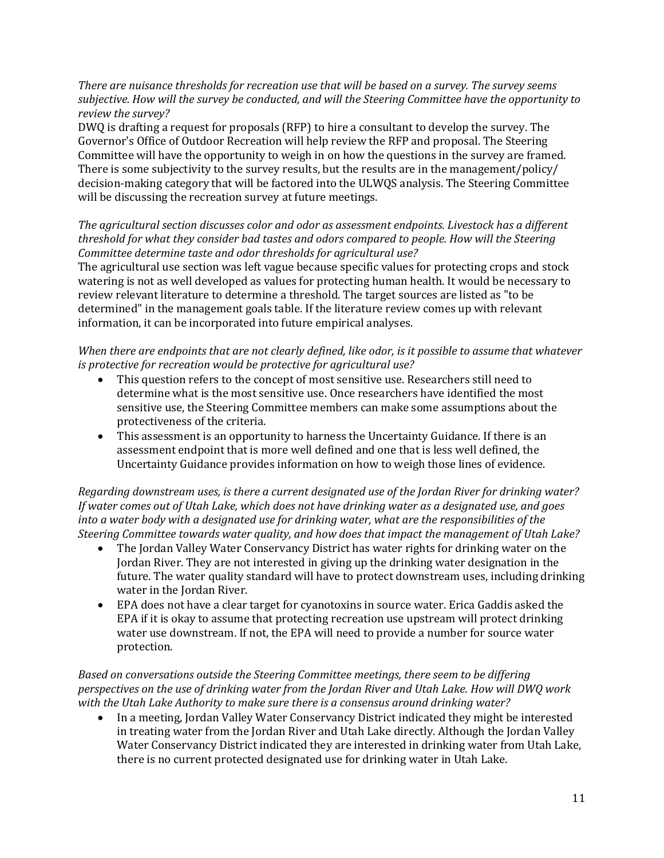*There are nuisance thresholds for recreation use that will be based on a survey. The survey seems subjective. How will the survey be conducted, and will the Steering Committee have the opportunity to review the survey?*

DWQ is drafting a request for proposals (RFP) to hire a consultant to develop the survey. The Governor's Office of Outdoor Recreation will help review the RFP and proposal. The Steering Committee will have the opportunity to weigh in on how the questions in the survey are framed. There is some subjectivity to the survey results, but the results are in the management/policy/ decision-making category that will be factored into the ULWQS analysis. The Steering Committee will be discussing the recreation survey at future meetings.

# *The agricultural section discusses color and odor as assessment endpoints. Livestock has a different threshold for what they consider bad tastes and odors compared to people. How will the Steering Committee determine taste and odor thresholds for agricultural use?*

The agricultural use section was left vague because specific values for protecting crops and stock watering is not as well developed as values for protecting human health. It would be necessary to review relevant literature to determine a threshold. The target sources are listed as "to be determined" in the management goals table. If the literature review comes up with relevant information, it can be incorporated into future empirical analyses.

### *When there are endpoints that are not clearly defined, like odor, is it possible to assume that whatever is protective for recreation would be protective for agricultural use?*

- This question refers to the concept of most sensitive use. Researchers still need to determine what is the most sensitive use. Once researchers have identified the most sensitive use, the Steering Committee members can make some assumptions about the protectiveness of the criteria.
- This assessment is an opportunity to harness the Uncertainty Guidance. If there is an assessment endpoint that is more well defined and one that is less well defined, the Uncertainty Guidance provides information on how to weigh those lines of evidence.

*Regarding downstream uses, is there a current designated use of the Jordan River for drinking water? If water comes out of Utah Lake, which does not have drinking water as a designated use, and goes into a water body with a designated use for drinking water, what are the responsibilities of the Steering Committee towards water quality, and how does that impact the management of Utah Lake?*

- The Jordan Valley Water Conservancy District has water rights for drinking water on the Jordan River. They are not interested in giving up the drinking water designation in the future. The water quality standard will have to protect downstream uses, including drinking water in the Jordan River.
- EPA does not have a clear target for cyanotoxins in source water. Erica Gaddis asked the EPA if it is okay to assume that protecting recreation use upstream will protect drinking water use downstream. If not, the EPA will need to provide a number for source water protection.

# *Based on conversations outside the Steering Committee meetings, there seem to be differing perspectives on the use of drinking water from the Jordan River and Utah Lake. How will DWQ work with the Utah Lake Authority to make sure there is a consensus around drinking water?*

• In a meeting, Jordan Valley Water Conservancy District indicated they might be interested in treating water from the Jordan River and Utah Lake directly. Although the Jordan Valley Water Conservancy District indicated they are interested in drinking water from Utah Lake, there is no current protected designated use for drinking water in Utah Lake.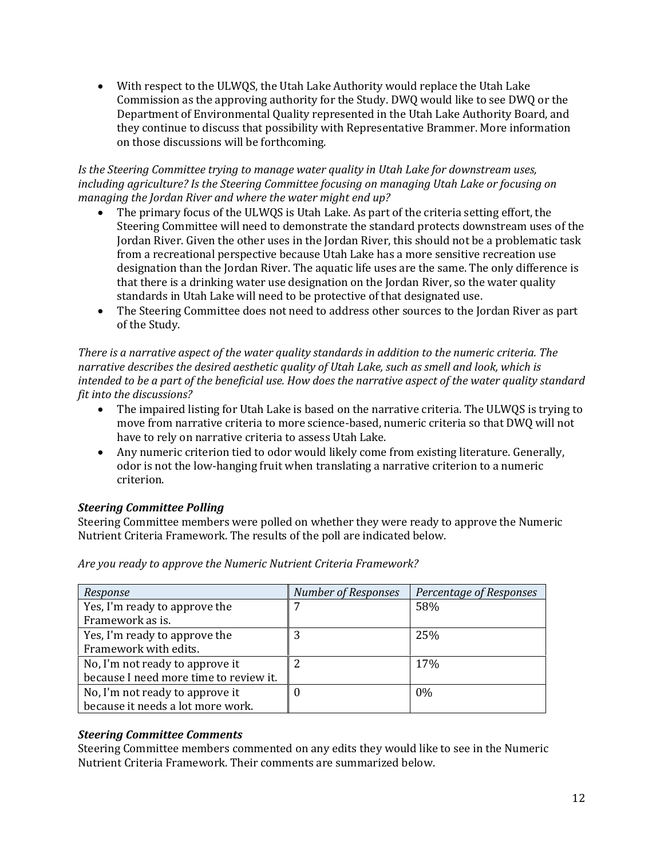• With respect to the ULWQS, the Utah Lake Authority would replace the Utah Lake Commission as the approving authority for the Study. DWQ would like to see DWQ or the Department of Environmental Quality represented in the Utah Lake Authority Board, and they continue to discuss that possibility with Representative Brammer. More information on those discussions will be forthcoming.

#### *Is the Steering Committee trying to manage water quality in Utah Lake for downstream uses, including agriculture? Is the Steering Committee focusing on managing Utah Lake or focusing on managing the Jordan River and where the water might end up?*

- The primary focus of the ULWQS is Utah Lake. As part of the criteria setting effort, the Steering Committee will need to demonstrate the standard protects downstream uses of the Jordan River. Given the other uses in the Jordan River, this should not be a problematic task from a recreational perspective because Utah Lake has a more sensitive recreation use designation than the Jordan River. The aquatic life uses are the same. The only difference is that there is a drinking water use designation on the Jordan River, so the water quality standards in Utah Lake will need to be protective of that designated use.
- The Steering Committee does not need to address other sources to the Jordan River as part of the Study.

*There is a narrative aspect of the water quality standards in addition to the numeric criteria. The narrative describes the desired aesthetic quality of Utah Lake, such as smell and look, which is intended to be a part of the beneficial use. How does the narrative aspect of the water quality standard fit into the discussions?*

- The impaired listing for Utah Lake is based on the narrative criteria. The ULWQS is trying to move from narrative criteria to more science-based, numeric criteria so that DWQ will not have to rely on narrative criteria to assess Utah Lake.
- Any numeric criterion tied to odor would likely come from existing literature. Generally, odor is not the low-hanging fruit when translating a narrative criterion to a numeric criterion.

### *Steering Committee Polling*

Steering Committee members were polled on whether they were ready to approve the Numeric Nutrient Criteria Framework. The results of the poll are indicated below.

| Response                               | <b>Number of Responses</b> | Percentage of Responses |
|----------------------------------------|----------------------------|-------------------------|
| Yes, I'm ready to approve the          |                            | 58%                     |
| Framework as is.                       |                            |                         |
| Yes, I'm ready to approve the          |                            | 25%                     |
| Framework with edits.                  |                            |                         |
| No, I'm not ready to approve it        |                            | 17%                     |
| because I need more time to review it. |                            |                         |
| No, I'm not ready to approve it        |                            | $0\%$                   |
| because it needs a lot more work.      |                            |                         |

*Are you ready to approve the Numeric Nutrient Criteria Framework?*

### *Steering Committee Comments*

Steering Committee members commented on any edits they would like to see in the Numeric Nutrient Criteria Framework. Their comments are summarized below.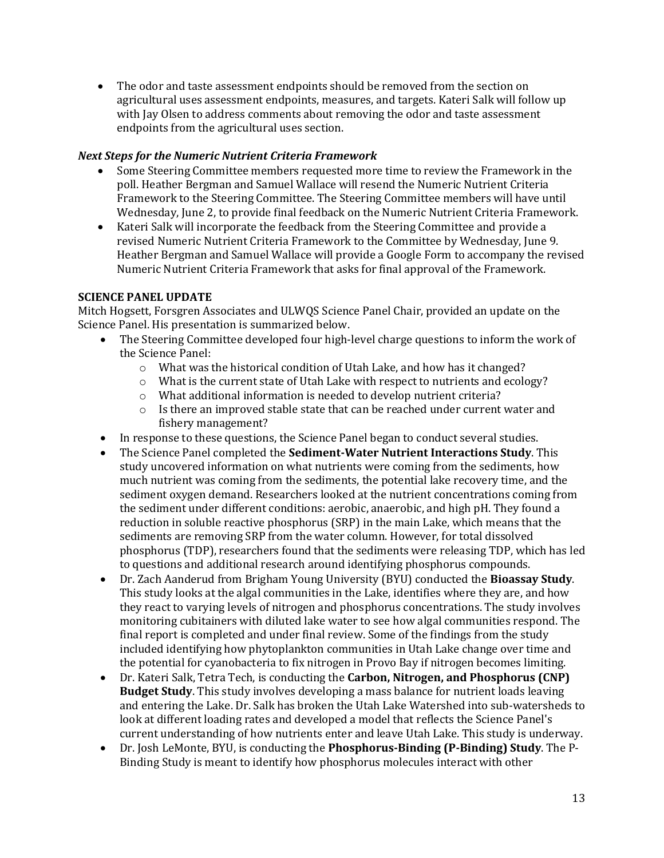• The odor and taste assessment endpoints should be removed from the section on agricultural uses assessment endpoints, measures, and targets. Kateri Salk will follow up with Jay Olsen to address comments about removing the odor and taste assessment endpoints from the agricultural uses section.

### *Next Steps for the Numeric Nutrient Criteria Framework*

- Some Steering Committee members requested more time to review the Framework in the poll. Heather Bergman and Samuel Wallace will resend the Numeric Nutrient Criteria Framework to the Steering Committee. The Steering Committee members will have until Wednesday, June 2, to provide final feedback on the Numeric Nutrient Criteria Framework.
- Kateri Salk will incorporate the feedback from the Steering Committee and provide a revised Numeric Nutrient Criteria Framework to the Committee by Wednesday, June 9. Heather Bergman and Samuel Wallace will provide a Google Form to accompany the revised Numeric Nutrient Criteria Framework that asks for final approval of the Framework.

# **SCIENCE PANEL UPDATE**

Mitch Hogsett, Forsgren Associates and ULWQS Science Panel Chair, provided an update on the Science Panel. His presentation is summarized below.

- The Steering Committee developed four high-level charge questions to inform the work of the Science Panel:
	- o What was the historical condition of Utah Lake, and how has it changed?
	- o What is the current state of Utah Lake with respect to nutrients and ecology?
	- o What additional information is needed to develop nutrient criteria?
	- $\circ$  Is there an improved stable state that can be reached under current water and fishery management?
- In response to these questions, the Science Panel began to conduct several studies.
- The Science Panel completed the **Sediment-Water Nutrient Interactions Study**. This study uncovered information on what nutrients were coming from the sediments, how much nutrient was coming from the sediments, the potential lake recovery time, and the sediment oxygen demand. Researchers looked at the nutrient concentrations coming from the sediment under different conditions: aerobic, anaerobic, and high pH. They found a reduction in soluble reactive phosphorus (SRP) in the main Lake, which means that the sediments are removing SRP from the water column. However, for total dissolved phosphorus (TDP), researchers found that the sediments were releasing TDP, which has led to questions and additional research around identifying phosphorus compounds.
- Dr. Zach Aanderud from Brigham Young University (BYU) conducted the **Bioassay Study**. This study looks at the algal communities in the Lake, identifies where they are, and how they react to varying levels of nitrogen and phosphorus concentrations. The study involves monitoring cubitainers with diluted lake water to see how algal communities respond. The final report is completed and under final review. Some of the findings from the study included identifying how phytoplankton communities in Utah Lake change over time and the potential for cyanobacteria to fix nitrogen in Provo Bay if nitrogen becomes limiting.
- Dr. Kateri Salk, Tetra Tech, is conducting the **Carbon, Nitrogen, and Phosphorus (CNP) Budget Study**. This study involves developing a mass balance for nutrient loads leaving and entering the Lake. Dr. Salk has broken the Utah Lake Watershed into sub-watersheds to look at different loading rates and developed a model that reflects the Science Panel's current understanding of how nutrients enter and leave Utah Lake. This study is underway.
- Dr. Josh LeMonte, BYU, is conducting the **Phosphorus-Binding (P-Binding) Study**. The P-Binding Study is meant to identify how phosphorus molecules interact with other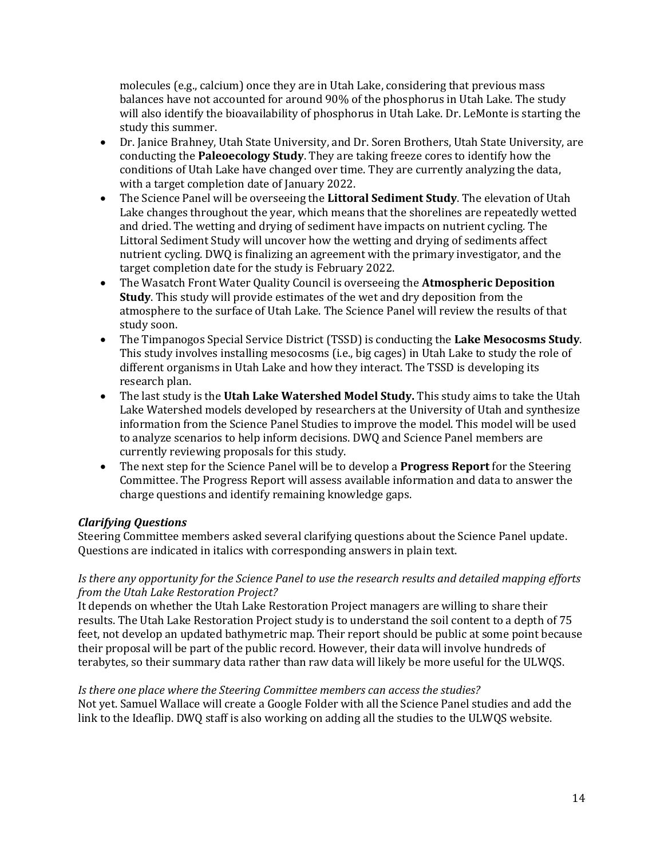molecules (e.g., calcium) once they are in Utah Lake, considering that previous mass balances have not accounted for around 90% of the phosphorus in Utah Lake. The study will also identify the bioavailability of phosphorus in Utah Lake. Dr. LeMonte is starting the study this summer.

- Dr. Janice Brahney, Utah State University, and Dr. Soren Brothers, Utah State University, are conducting the **Paleoecology Study**. They are taking freeze cores to identify how the conditions of Utah Lake have changed over time. They are currently analyzing the data, with a target completion date of January 2022.
- The Science Panel will be overseeing the **Littoral Sediment Study**. The elevation of Utah Lake changes throughout the year, which means that the shorelines are repeatedly wetted and dried. The wetting and drying of sediment have impacts on nutrient cycling. The Littoral Sediment Study will uncover how the wetting and drying of sediments affect nutrient cycling. DWQ is finalizing an agreement with the primary investigator, and the target completion date for the study is February 2022.
- The Wasatch Front Water Quality Council is overseeing the **Atmospheric Deposition Study**. This study will provide estimates of the wet and dry deposition from the atmosphere to the surface of Utah Lake. The Science Panel will review the results of that study soon.
- The Timpanogos Special Service District (TSSD) is conducting the **Lake Mesocosms Study**. This study involves installing mesocosms (i.e., big cages) in Utah Lake to study the role of different organisms in Utah Lake and how they interact. The TSSD is developing its research plan.
- The last study is the **Utah Lake Watershed Model Study.** This study aims to take the Utah Lake Watershed models developed by researchers at the University of Utah and synthesize information from the Science Panel Studies to improve the model. This model will be used to analyze scenarios to help inform decisions. DWQ and Science Panel members are currently reviewing proposals for this study.
- The next step for the Science Panel will be to develop a **Progress Report** for the Steering Committee. The Progress Report will assess available information and data to answer the charge questions and identify remaining knowledge gaps.

### *Clarifying Questions*

Steering Committee members asked several clarifying questions about the Science Panel update. Questions are indicated in italics with corresponding answers in plain text.

### *Is there any opportunity for the Science Panel to use the research results and detailed mapping efforts from the Utah Lake Restoration Project?*

It depends on whether the Utah Lake Restoration Project managers are willing to share their results. The Utah Lake Restoration Project study is to understand the soil content to a depth of 75 feet, not develop an updated bathymetric map. Their report should be public at some point because their proposal will be part of the public record. However, their data will involve hundreds of terabytes, so their summary data rather than raw data will likely be more useful for the ULWQS.

*Is there one place where the Steering Committee members can access the studies?* Not yet. Samuel Wallace will create a Google Folder with all the Science Panel studies and add the link to the Ideaflip. DWQ staff is also working on adding all the studies to the ULWQS website.